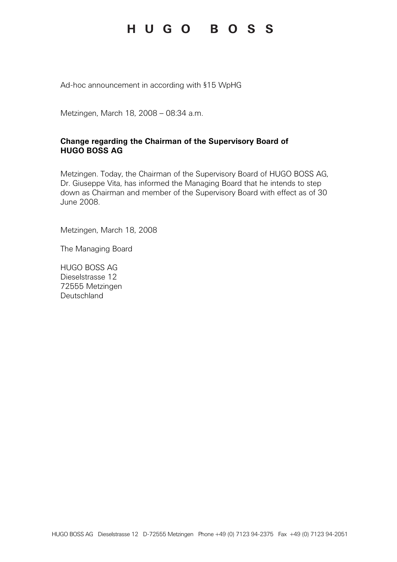## HUGO BOSS

Ad-hoc announcement in according with §15 WpHG

Metzingen, March 18, 2008 – 08:34 a.m.

#### **Change regarding the Chairman of the Supervisory Board of HUGO BOSS AG**

Metzingen. Today, the Chairman of the Supervisory Board of HUGO BOSS AG, Dr. Giuseppe Vita, has informed the Managing Board that he intends to step down as Chairman and member of the Supervisory Board with effect as of 30 June 2008.

Metzingen, March 18, 2008

The Managing Board

HUGO BOSS AG Dieselstrasse 12 72555 Metzingen **Deutschland**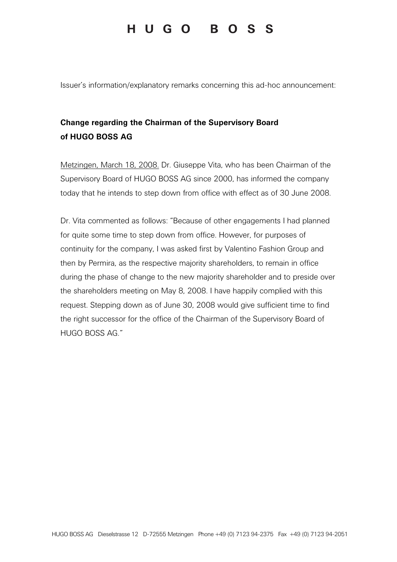# HUGO BOSS

Issuer's information/explanatory remarks concerning this ad-hoc announcement:

#### Change regarding the Chairman of the Supervisory Board of HUGO BOSS AG

Metzingen, March 18, 2008. Dr. Giuseppe Vita, who has been Chairman of the Supervisory Board of HUGO BOSS AG since 2000, has informed the company today that he intends to step down from office with effect as of 30 June 2008.

Dr. Vita commented as follows: "Because of other engagements I had planned for quite some time to step down from office. However, for purposes of continuity for the company, I was asked first by Valentino Fashion Group and then by Permira, as the respective majority shareholders, to remain in office during the phase of change to the new majority shareholder and to preside over the shareholders meeting on May 8, 2008. I have happily complied with this request. Stepping down as of June 30, 2008 would give sufficient time to find the right successor for the office of the Chairman of the Supervisory Board of HUGO BOSS AG."